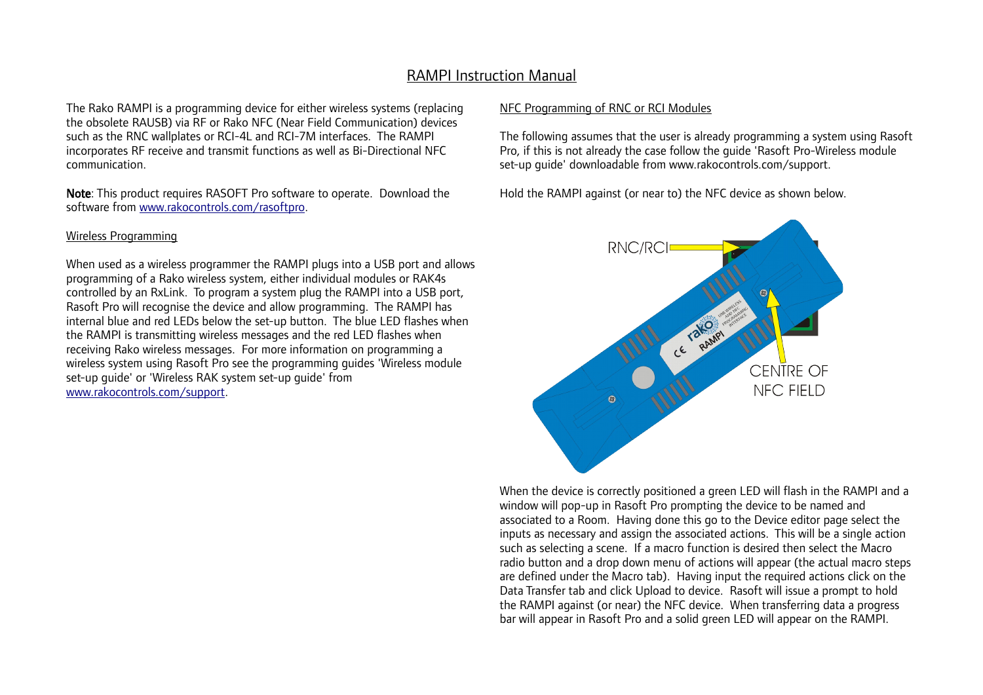## RAMPI Instruction Manual

The Rako RAMPI is a programming device for either wireless systems (replacing the obsolete RAUSB) via RF or Rako NFC (Near Field Communication) devices such as the RNC wallplates or RCI-4L and RCI-7M interfaces. The RAMPI incorporates RF receive and transmit functions as well as Bi-Directional NFC communication.

Note: This product requires RASOFT Pro software to operate. Download the software from [www.rakocontrols.com/rasoftpro.](http://www.rakocontrols.com/software/rasoftpro)

## Wireless Programming

When used as a wireless programmer the RAMPI plugs into a USB port and allows programming of a Rako wireless system, either individual modules or RAK4s controlled by an RxLink. To program a system plug the RAMPI into a USB port, Rasoft Pro will recognise the device and allow programming. The RAMPI has internal blue and red LEDs below the set-up button. The blue LED flashes when the RAMPI is transmitting wireless messages and the red LED flashes when receiving Rako wireless messages. For more information on programming a wireless system using Rasoft Pro see the programming guides 'Wireless module set-up guide' or 'Wireless RAK system set-up guide' from [www.rakocontrols.com/support.](http://www.rakocontrols.com/support)

## NFC Programming of RNC or RCI Modules

The following assumes that the user is already programming a system using Rasoft Pro, if this is not already the case follow the guide 'Rasoft Pro-Wireless module set-up guide' downloadable from www.rakocontrols.com/support.

Hold the RAMPI against (or near to) the NFC device as shown below.



When the device is correctly positioned a green LED will flash in the RAMPI and a window will pop-up in Rasoft Pro prompting the device to be named and associated to a Room. Having done this go to the Device editor page select the inputs as necessary and assign the associated actions. This will be a single action such as selecting a scene. If a macro function is desired then select the Macro radio button and a drop down menu of actions will appear (the actual macro steps are defined under the Macro tab). Having input the required actions click on the Data Transfer tab and click Upload to device. Rasoft will issue a prompt to hold the RAMPI against (or near) the NFC device. When transferring data a progress bar will appear in Rasoft Pro and a solid green LED will appear on the RAMPI.